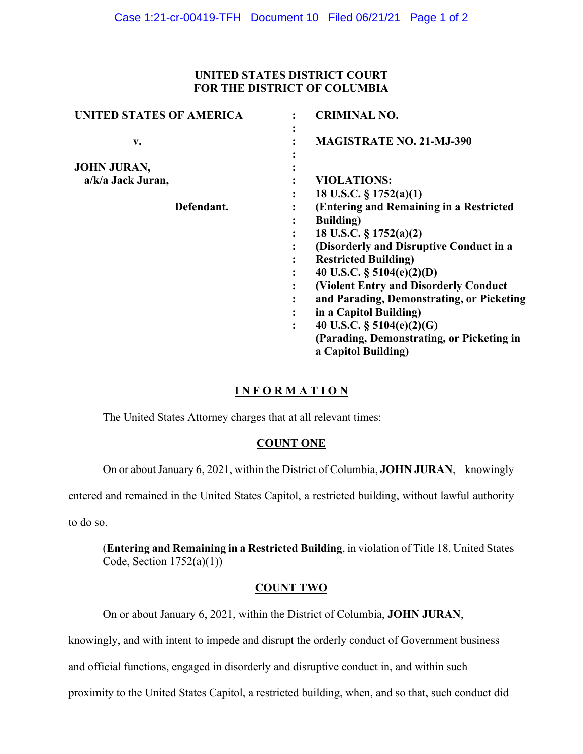### **UNITED STATES DISTRICT COURT FOR THE DISTRICT OF COLUMBIA**

| UNITED STATES OF AMERICA                | <b>CRIMINAL NO.</b>                                                                                                                                                                                                                                                                                                                                                                                                                                                                                             |
|-----------------------------------------|-----------------------------------------------------------------------------------------------------------------------------------------------------------------------------------------------------------------------------------------------------------------------------------------------------------------------------------------------------------------------------------------------------------------------------------------------------------------------------------------------------------------|
| v.                                      | ٠<br><b>MAGISTRATE NO. 21-MJ-390</b>                                                                                                                                                                                                                                                                                                                                                                                                                                                                            |
| <b>JOHN JURAN,</b><br>a/k/a Jack Juran, | <b>VIOLATIONS:</b>                                                                                                                                                                                                                                                                                                                                                                                                                                                                                              |
| Defendant.                              | 18 U.S.C. $\S$ 1752(a)(1)<br>$\ddot{\cdot}$<br>(Entering and Remaining in a Restricted<br><b>Building</b> )<br>$\ddot{\cdot}$<br>18 U.S.C. § 1752(a)(2)<br>$\ddot{\cdot}$<br>(Disorderly and Disruptive Conduct in a<br>$\bullet$<br><b>Restricted Building)</b><br>$\bullet$<br>40 U.S.C. $\S$ 5104(e)(2)(D)<br>$\bullet$<br>(Violent Entry and Disorderly Conduct)<br>$\bullet$<br>and Parading, Demonstrating, or Picketing<br>$\ddot{\cdot}$<br>in a Capitol Building)<br>40 U.S.C. $\S$ 5104(e)(2)(G)<br>፡ |
|                                         | (Parading, Demonstrating, or Picketing in<br>a Capitol Building)                                                                                                                                                                                                                                                                                                                                                                                                                                                |

# **I N F O R M A T I O N**

The United States Attorney charges that at all relevant times:

# **COUNT ONE**

On or about January 6, 2021, within the District of Columbia, **JOHN JURAN**, knowingly

entered and remained in the United States Capitol, a restricted building, without lawful authority

to do so.

(**Entering and Remaining in a Restricted Building**, in violation of Title 18, United States Code, Section  $1752(a)(1)$ )

### **COUNT TWO**

On or about January 6, 2021, within the District of Columbia, **JOHN JURAN**,

knowingly, and with intent to impede and disrupt the orderly conduct of Government business

and official functions, engaged in disorderly and disruptive conduct in, and within such

proximity to the United States Capitol, a restricted building, when, and so that, such conduct did